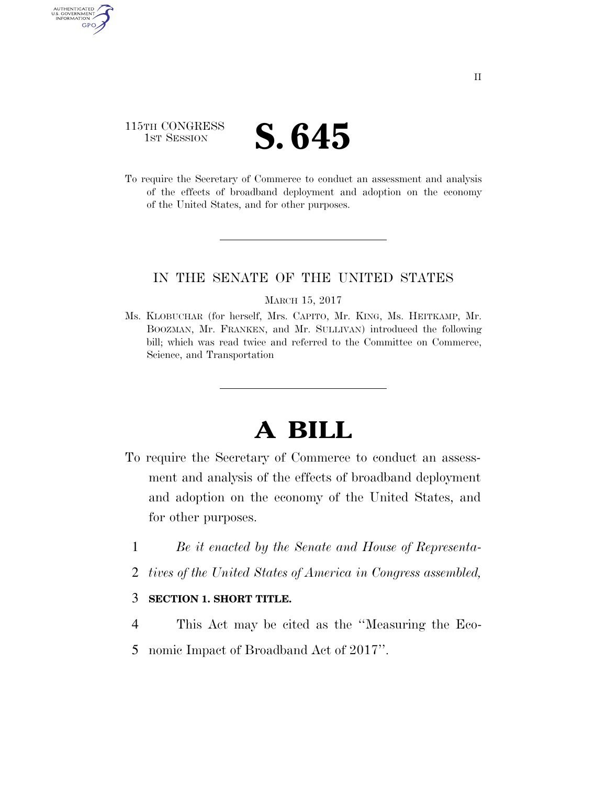## 115TH CONGRESS **IST SESSION S. 645**

AUTHENTICATED U.S. GOVERNMENT **GPO** 

> To require the Secretary of Commerce to conduct an assessment and analysis of the effects of broadband deployment and adoption on the economy of the United States, and for other purposes.

## IN THE SENATE OF THE UNITED STATES

#### MARCH 15, 2017

Ms. KLOBUCHAR (for herself, Mrs. CAPITO, Mr. KING, Ms. HEITKAMP, Mr. BOOZMAN, Mr. FRANKEN, and Mr. SULLIVAN) introduced the following bill; which was read twice and referred to the Committee on Commerce, Science, and Transportation

# **A BILL**

- To require the Secretary of Commerce to conduct an assessment and analysis of the effects of broadband deployment and adoption on the economy of the United States, and for other purposes.
	- 1 *Be it enacted by the Senate and House of Representa-*
	- 2 *tives of the United States of America in Congress assembled,*

### 3 **SECTION 1. SHORT TITLE.**

- 4 This Act may be cited as the ''Measuring the Eco-
- 5 nomic Impact of Broadband Act of 2017''.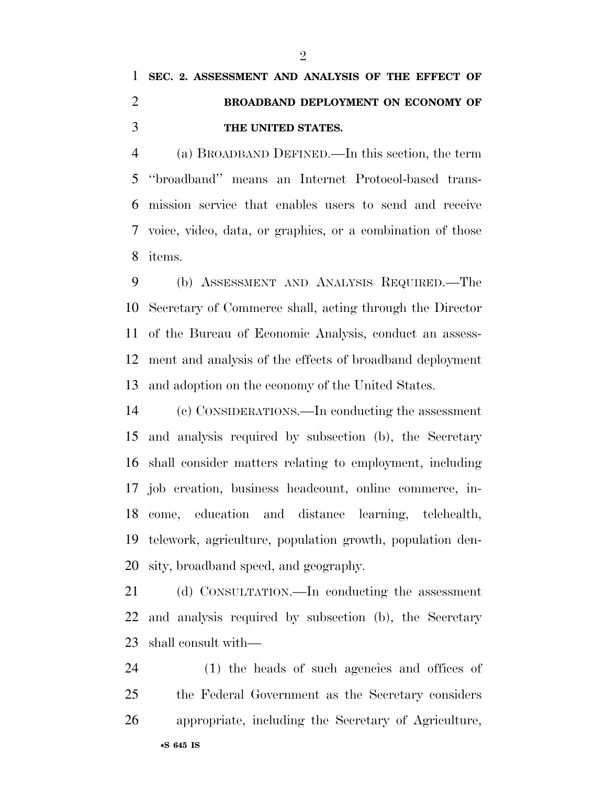## **SEC. 2. ASSESSMENT AND ANALYSIS OF THE EFFECT OF BROADBAND DEPLOYMENT ON ECONOMY OF THE UNITED STATES.**

 (a) BROADBAND DEFINED.—In this section, the term ''broadband'' means an Internet Protocol-based trans- mission service that enables users to send and receive voice, video, data, or graphics, or a combination of those items.

 (b) ASSESSMENT AND ANALYSIS REQUIRED.—The Secretary of Commerce shall, acting through the Director of the Bureau of Economic Analysis, conduct an assess- ment and analysis of the effects of broadband deployment and adoption on the economy of the United States.

 (c) CONSIDERATIONS.—In conducting the assessment and analysis required by subsection (b), the Secretary shall consider matters relating to employment, including job creation, business headcount, online commerce, in- come, education and distance learning, telehealth, telework, agriculture, population growth, population den-sity, broadband speed, and geography.

 (d) CONSULTATION.—In conducting the assessment and analysis required by subsection (b), the Secretary shall consult with—

 (1) the heads of such agencies and offices of the Federal Government as the Secretary considers appropriate, including the Secretary of Agriculture,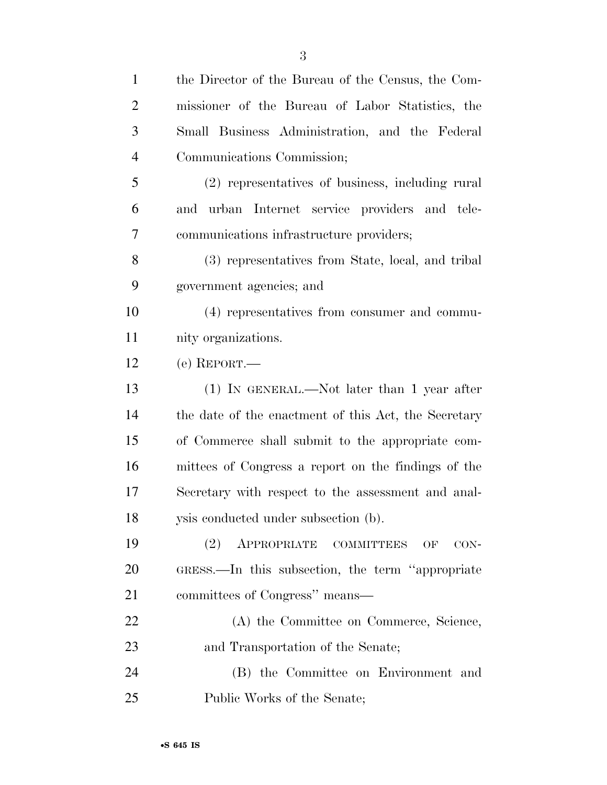| $\mathbf{1}$   | the Director of the Bureau of the Census, the Com-   |
|----------------|------------------------------------------------------|
| $\overline{2}$ | missioner of the Bureau of Labor Statistics, the     |
| 3              | Small Business Administration, and the Federal       |
| $\overline{4}$ | Communications Commission;                           |
| 5              | (2) representatives of business, including rural     |
| 6              | and urban Internet service providers and tele-       |
| 7              | communications infrastructure providers;             |
| 8              | (3) representatives from State, local, and tribal    |
| 9              | government agencies; and                             |
| 10             | (4) representatives from consumer and commu-         |
| 11             | nity organizations.                                  |
| 12             | $(e)$ REPORT.—                                       |
| 13             | $(1)$ IN GENERAL.—Not later than 1 year after        |
| 14             | the date of the enactment of this Act, the Secretary |
| 15             | of Commerce shall submit to the appropriate com-     |
| 16             | mittees of Congress a report on the findings of the  |
| 17             | Secretary with respect to the assessment and anal-   |
| 18             | ysis conducted under subsection (b).                 |
| 19             | APPROPRIATE COMMITTEES<br>(2)<br>OF<br>CON-          |
| 20             | GRESS.—In this subsection, the term "appropriate"    |
| 21             | committees of Congress" means—                       |
| 22             | (A) the Committee on Commerce, Science,              |
| 23             | and Transportation of the Senate;                    |
| 24             | (B) the Committee on Environment and                 |
| 25             | Public Works of the Senate;                          |